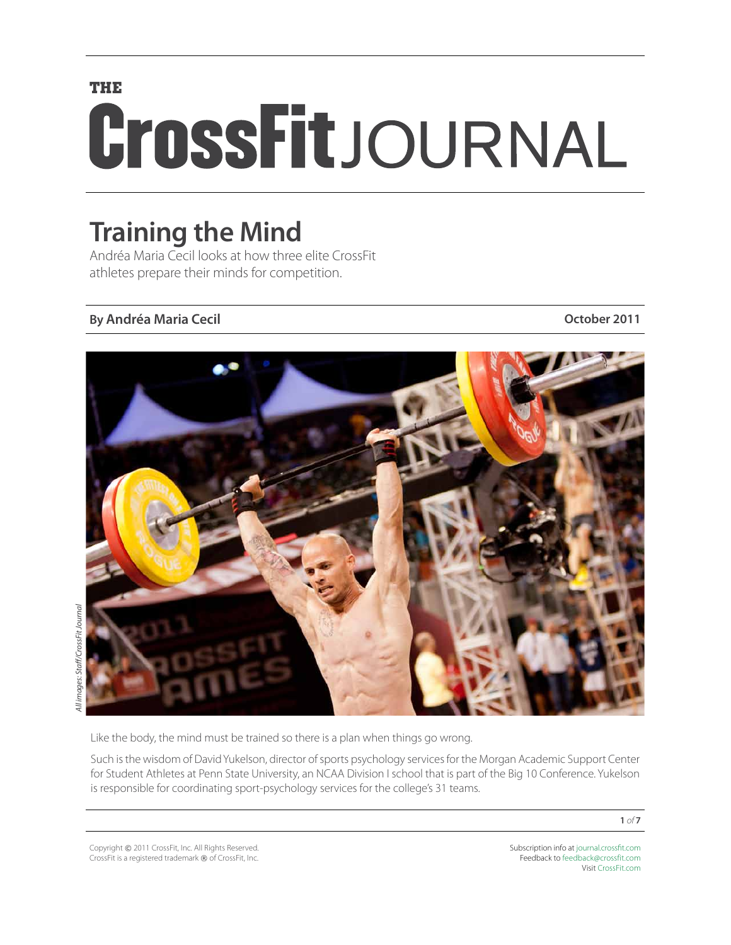# **THE** CrossFitJOURNAL

### **Training the Mind**

Andréa Maria Cecil looks at how three elite CrossFit athletes prepare their minds for competition.

#### **By Andréa Maria Cecil October 2011**



Like the body, the mind must be trained so there is a plan when things go wrong.

Such is the wisdom of David Yukelson, director of sports psychology services for the Morgan Academic Support Center for Student Athletes at Penn State University, an NCAA Division I school that is part of the Big 10 Conference. Yukelson is responsible for coordinating sport-psychology services for the college's 31 teams.

Copyright © 2011 CrossFit, Inc. All Rights Reserved. CrossFit is a registered trademark ® of CrossFit, Inc. Subscription info at [journal.crossfit.com](http://journal.crossfit.com) Feedback to [feedback@crossfit.com](mailto:feedback@crossfit.com) Visit [CrossFit.com](http://www.crossfit.com)

**1** *of* **7**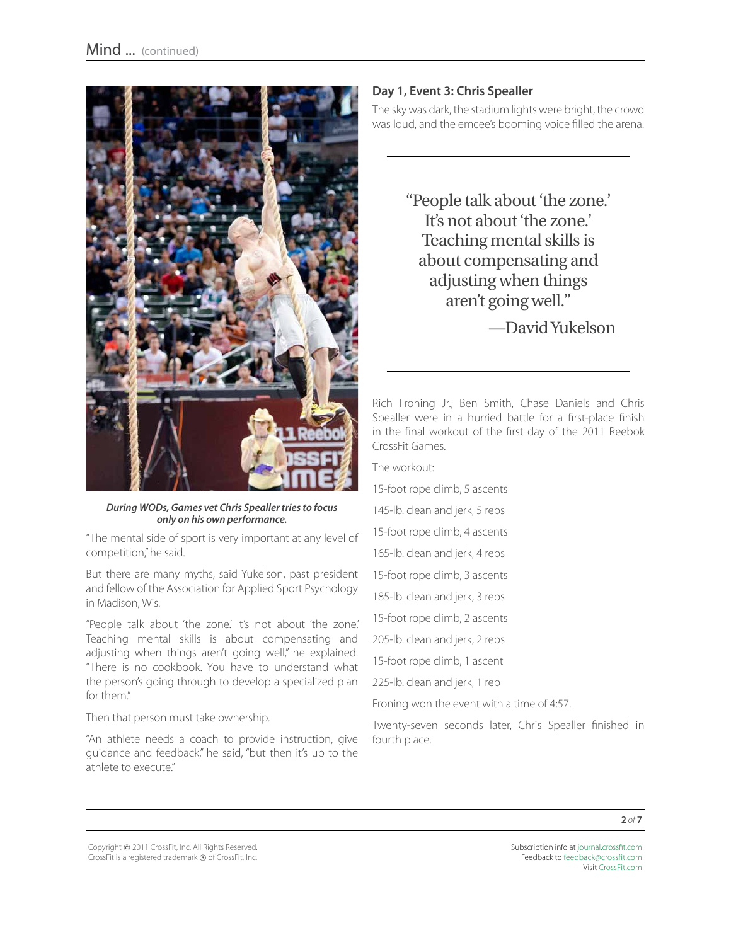

*During WODs, Games vet Chris Spealler tries to focus only on his own performance.*

"The mental side of sport is very important at any level of competition," he said.

But there are many myths, said Yukelson, past president and fellow of the Association for Applied Sport Psychology in Madison, Wis.

"People talk about 'the zone.' It's not about 'the zone.' Teaching mental skills is about compensating and adjusting when things aren't going well," he explained. "There is no cookbook. You have to understand what the person's going through to develop a specialized plan for them."

Then that person must take ownership.

"An athlete needs a coach to provide instruction, give guidance and feedback," he said, "but then it's up to the athlete to execute."

#### **Day 1, Event 3: Chris Spealler**

The sky was dark, the stadium lights were bright, the crowd was loud, and the emcee's booming voice filled the arena.

> "People talk about 'the zone.' It's not about 'the zone.' Teaching mental skills is about compensating and adjusting when things aren't going well." —David Yukelson

Rich Froning Jr., Ben Smith, Chase Daniels and Chris Spealler were in a hurried battle for a first-place finish in the final workout of the first day of the 2011 Reebok CrossFit Games.

The workout:

15-foot rope climb, 5 ascents

- 145-lb. clean and jerk, 5 reps
- 15-foot rope climb, 4 ascents
- 165-lb. clean and jerk, 4 reps
- 15-foot rope climb, 3 ascents
- 185-lb. clean and jerk, 3 reps
- 15-foot rope climb, 2 ascents

205-lb. clean and jerk, 2 reps

15-foot rope climb, 1 ascent

225-lb. clean and jerk, 1 rep

Froning won the event with a time of 4:57.

Twenty-seven seconds later, Chris Spealler finished in fourth place.

**2** *of* **7**

Copyright © 2011 CrossFit, Inc. All Rights Reserved. CrossFit is a registered trademark ® of CrossFit, Inc.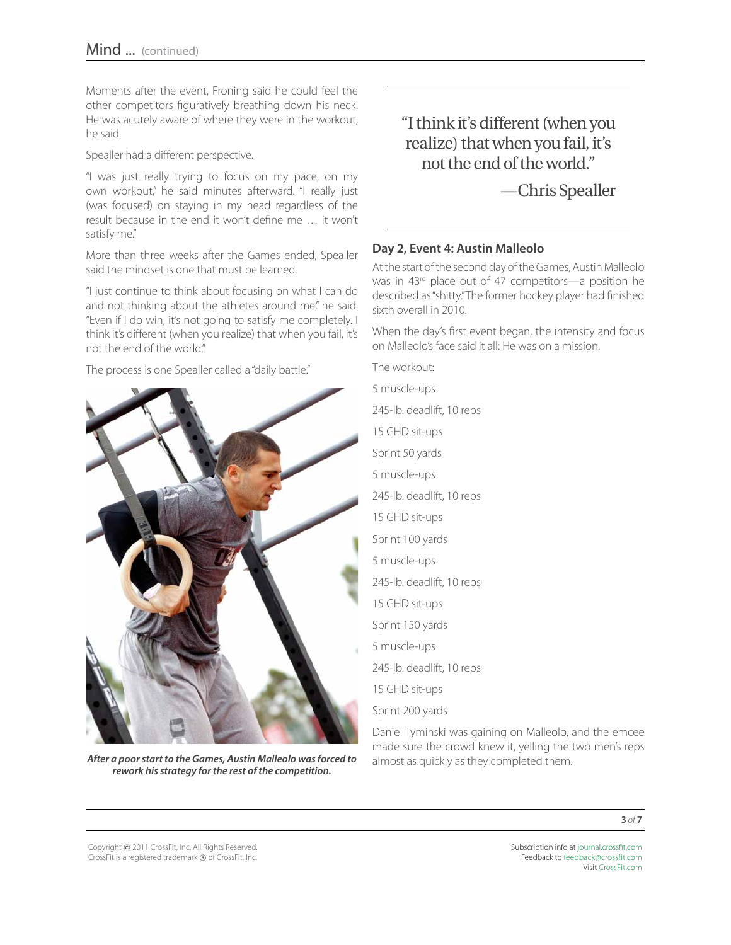Moments after the event, Froning said he could feel the other competitors figuratively breathing down his neck. He was acutely aware of where they were in the workout, he said.

Spealler had a different perspective.

"I was just really trying to focus on my pace, on my own workout," he said minutes afterward. "I really just (was focused) on staying in my head regardless of the result because in the end it won't define me … it won't satisfy me."

More than three weeks after the Games ended, Spealler said the mindset is one that must be learned.

"I just continue to think about focusing on what I can do and not thinking about the athletes around me," he said. "Even if I do win, it's not going to satisfy me completely. I think it's different (when you realize) that when you fail, it's not the end of the world."

The process is one Spealler called a "daily battle."

![](_page_2_Picture_7.jpeg)

*After a poor start to the Games, Austin Malleolo was forced to rework his strategy for the rest of the competition.*

"I think it's different (when you realize) that when you fail, it's not the end of the world."

—Chris Spealler

#### **Day 2, Event 4: Austin Malleolo**

At the start of the second day of the Games, Austin Malleolo was in 43<sup>rd</sup> place out of 47 competitors—a position he described as "shitty." The former hockey player had finished sixth overall in 2010.

When the day's first event began, the intensity and focus on Malleolo's face said it all: He was on a mission.

The workout: 5 muscle-ups 245-lb. deadlift, 10 reps 15 GHD sit-ups Sprint 50 yards 5 muscle-ups 245-lb. deadlift, 10 reps 15 GHD sit-ups Sprint 100 yards 5 muscle-ups 245-lb. deadlift, 10 reps 15 GHD sit-ups Sprint 150 yards 5 muscle-ups 245-lb. deadlift, 10 reps 15 GHD sit-ups Sprint 200 yards

Daniel Tyminski was gaining on Malleolo, and the emcee made sure the crowd knew it, yelling the two men's reps almost as quickly as they completed them.

**3** *of* **7**

Copyright © 2011 CrossFit, Inc. All Rights Reserved. CrossFit is a registered trademark ® of CrossFit, Inc.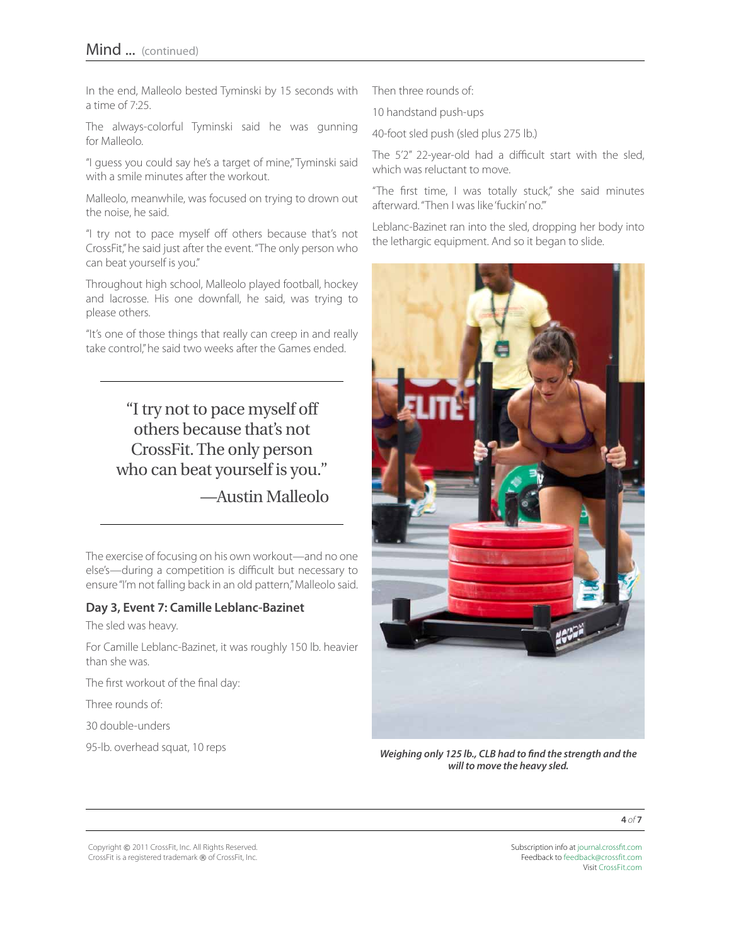In the end, Malleolo bested Tyminski by 15 seconds with a time of 7:25.

The always-colorful Tyminski said he was gunning for Malleolo.

"I guess you could say he's a target of mine," Tyminski said with a smile minutes after the workout.

Malleolo, meanwhile, was focused on trying to drown out the noise, he said.

"I try not to pace myself off others because that's not CrossFit," he said just after the event. "The only person who can beat yourself is you."

Throughout high school, Malleolo played football, hockey and lacrosse. His one downfall, he said, was trying to please others.

"It's one of those things that really can creep in and really take control," he said two weeks after the Games ended.

> "I try not to pace myself off others because that's not CrossFit. The only person who can beat yourself is you." —Austin Malleolo

The exercise of focusing on his own workout—and no one else's—during a competition is difficult but necessary to ensure "I'm not falling back in an old pattern," Malleolo said.

#### **Day 3, Event 7: Camille Leblanc-Bazinet**

The sled was heavy.

For Camille Leblanc-Bazinet, it was roughly 150 lb. heavier than she was.

The first workout of the final day:

Three rounds of:

30 double-unders

95-lb. overhead squat, 10 reps

Then three rounds of:

10 handstand push-ups

40-foot sled push (sled plus 275 lb.)

The 5'2" 22-year-old had a difficult start with the sled, which was reluctant to move.

"The first time, I was totally stuck," she said minutes afterward. "Then I was like 'fuckin' no.'"

Leblanc-Bazinet ran into the sled, dropping her body into the lethargic equipment. And so it began to slide.

![](_page_3_Picture_23.jpeg)

*Weighing only 125 lb., CLB had to find the strength and the will to move the heavy sled.*

**4** *of* **7**

Copyright © 2011 CrossFit, Inc. All Rights Reserved. CrossFit is a registered trademark ® of CrossFit, Inc.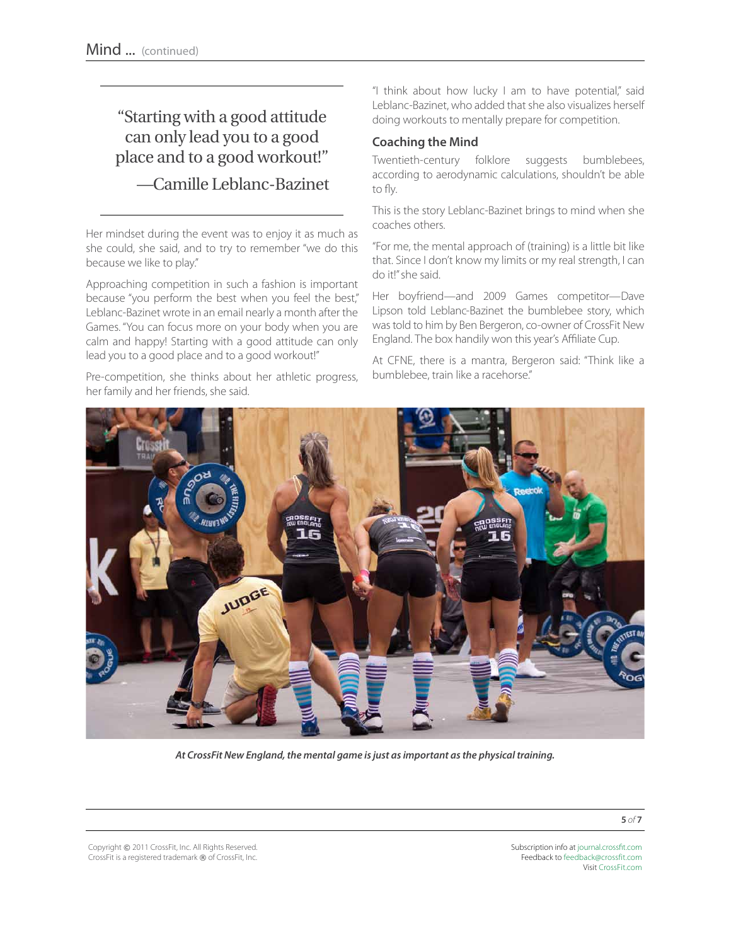### "Starting with a good attitude can only lead you to a good place and to a good workout!" —Camille Leblanc-Bazinet

Her mindset during the event was to enjoy it as much as she could, she said, and to try to remember "we do this because we like to play."

Approaching competition in such a fashion is important because "you perform the best when you feel the best," Leblanc-Bazinet wrote in an email nearly a month after the Games. "You can focus more on your body when you are calm and happy! Starting with a good attitude can only lead you to a good place and to a good workout!"

Pre-competition, she thinks about her athletic progress, her family and her friends, she said.

"I think about how lucky I am to have potential," said Leblanc-Bazinet, who added that she also visualizes herself doing workouts to mentally prepare for competition.

#### **Coaching the Mind**

Twentieth-century folklore suggests bumblebees, according to aerodynamic calculations, shouldn't be able to fly.

This is the story Leblanc-Bazinet brings to mind when she coaches others.

"For me, the mental approach of (training) is a little bit like that. Since I don't know my limits or my real strength, I can do it!" she said.

Her boyfriend—and 2009 Games competitor—Dave Lipson told Leblanc-Bazinet the bumblebee story, which was told to him by Ben Bergeron, co-owner of CrossFit New England. The box handily won this year's Affiliate Cup.

At CFNE, there is a mantra, Bergeron said: "Think like a bumblebee, train like a racehorse."

![](_page_4_Picture_12.jpeg)

*At CrossFit New England, the mental game is just as important as the physical training.* 

Copyright © 2011 CrossFit, Inc. All Rights Reserved. CrossFit is a registered trademark ® of CrossFit, Inc.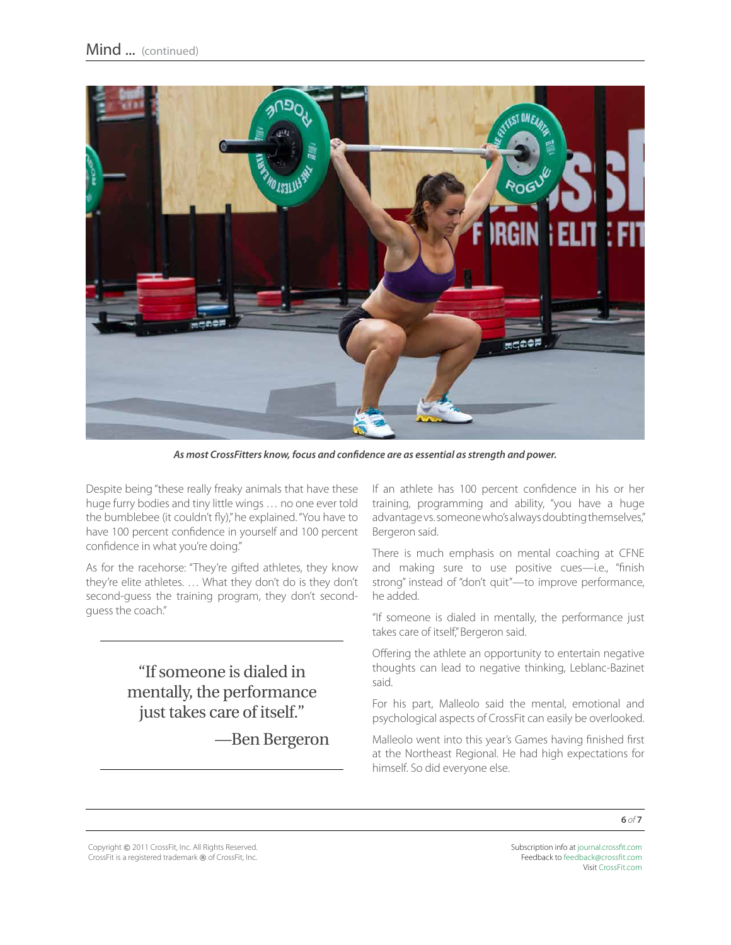![](_page_5_Picture_1.jpeg)

*As most CrossFitters know, focus and confidence are as essential as strength and power.*

Despite being "these really freaky animals that have these huge furry bodies and tiny little wings … no one ever told the bumblebee (it couldn't fly)," he explained. "You have to have 100 percent confidence in yourself and 100 percent confidence in what you're doing."

As for the racehorse: "They're gifted athletes, they know they're elite athletes. … What they don't do is they don't second-guess the training program, they don't secondguess the coach."

> "If someone is dialed in mentally, the performance just takes care of itself."

> > —Ben Bergeron

If an athlete has 100 percent confidence in his or her training, programming and ability, "you have a huge advantage vs. someone who's always doubting themselves," Bergeron said.

There is much emphasis on mental coaching at CFNE and making sure to use positive cues—i.e., "finish strong" instead of "don't quit"—to improve performance, he added.

"If someone is dialed in mentally, the performance just takes care of itself," Bergeron said.

Offering the athlete an opportunity to entertain negative thoughts can lead to negative thinking, Leblanc-Bazinet said.

For his part, Malleolo said the mental, emotional and psychological aspects of CrossFit can easily be overlooked.

Malleolo went into this year's Games having finished first at the Northeast Regional. He had high expectations for himself. So did everyone else.

Copyright © 2011 CrossFit, Inc. All Rights Reserved. CrossFit is a registered trademark ® of CrossFit, Inc.